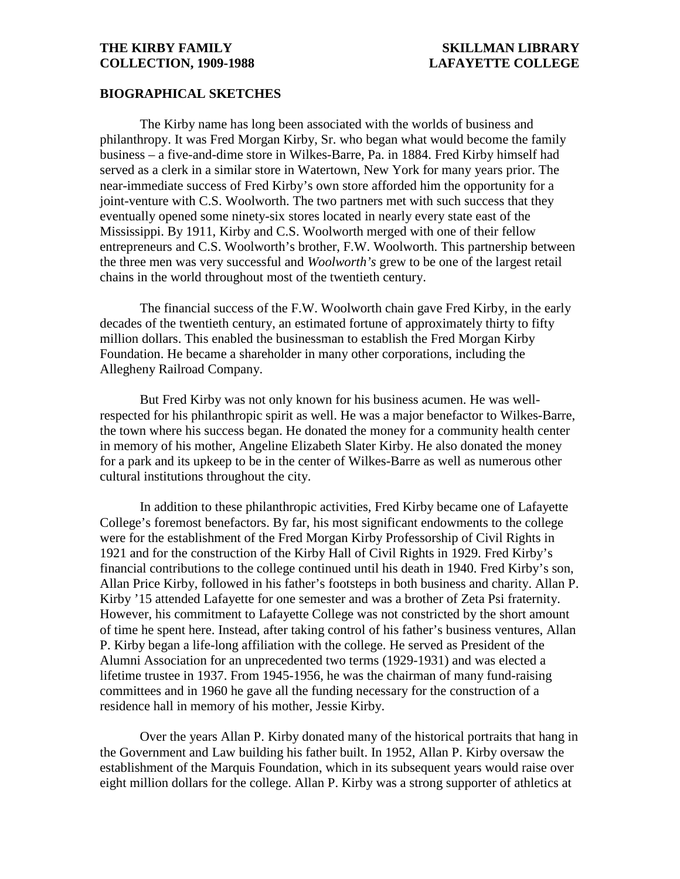### **BIOGRAPHICAL SKETCHES**

The Kirby name has long been associated with the worlds of business and philanthropy. It was Fred Morgan Kirby, Sr. who began what would become the family business – a five-and-dime store in Wilkes-Barre, Pa. in 1884. Fred Kirby himself had served as a clerk in a similar store in Watertown, New York for many years prior. The near-immediate success of Fred Kirby's own store afforded him the opportunity for a joint-venture with C.S. Woolworth. The two partners met with such success that they eventually opened some ninety-six stores located in nearly every state east of the Mississippi. By 1911, Kirby and C.S. Woolworth merged with one of their fellow entrepreneurs and C.S. Woolworth's brother, F.W. Woolworth. This partnership between the three men was very successful and *Woolworth's* grew to be one of the largest retail chains in the world throughout most of the twentieth century.

The financial success of the F.W. Woolworth chain gave Fred Kirby, in the early decades of the twentieth century, an estimated fortune of approximately thirty to fifty million dollars. This enabled the businessman to establish the Fred Morgan Kirby Foundation. He became a shareholder in many other corporations, including the Allegheny Railroad Company.

But Fred Kirby was not only known for his business acumen. He was wellrespected for his philanthropic spirit as well. He was a major benefactor to Wilkes-Barre, the town where his success began. He donated the money for a community health center in memory of his mother, Angeline Elizabeth Slater Kirby. He also donated the money for a park and its upkeep to be in the center of Wilkes-Barre as well as numerous other cultural institutions throughout the city.

In addition to these philanthropic activities, Fred Kirby became one of Lafayette College's foremost benefactors. By far, his most significant endowments to the college were for the establishment of the Fred Morgan Kirby Professorship of Civil Rights in 1921 and for the construction of the Kirby Hall of Civil Rights in 1929. Fred Kirby's financial contributions to the college continued until his death in 1940. Fred Kirby's son, Allan Price Kirby, followed in his father's footsteps in both business and charity. Allan P. Kirby '15 attended Lafayette for one semester and was a brother of Zeta Psi fraternity. However, his commitment to Lafayette College was not constricted by the short amount of time he spent here. Instead, after taking control of his father's business ventures, Allan P. Kirby began a life-long affiliation with the college. He served as President of the Alumni Association for an unprecedented two terms (1929-1931) and was elected a lifetime trustee in 1937. From 1945-1956, he was the chairman of many fund-raising committees and in 1960 he gave all the funding necessary for the construction of a residence hall in memory of his mother, Jessie Kirby.

Over the years Allan P. Kirby donated many of the historical portraits that hang in the Government and Law building his father built. In 1952, Allan P. Kirby oversaw the establishment of the Marquis Foundation, which in its subsequent years would raise over eight million dollars for the college. Allan P. Kirby was a strong supporter of athletics at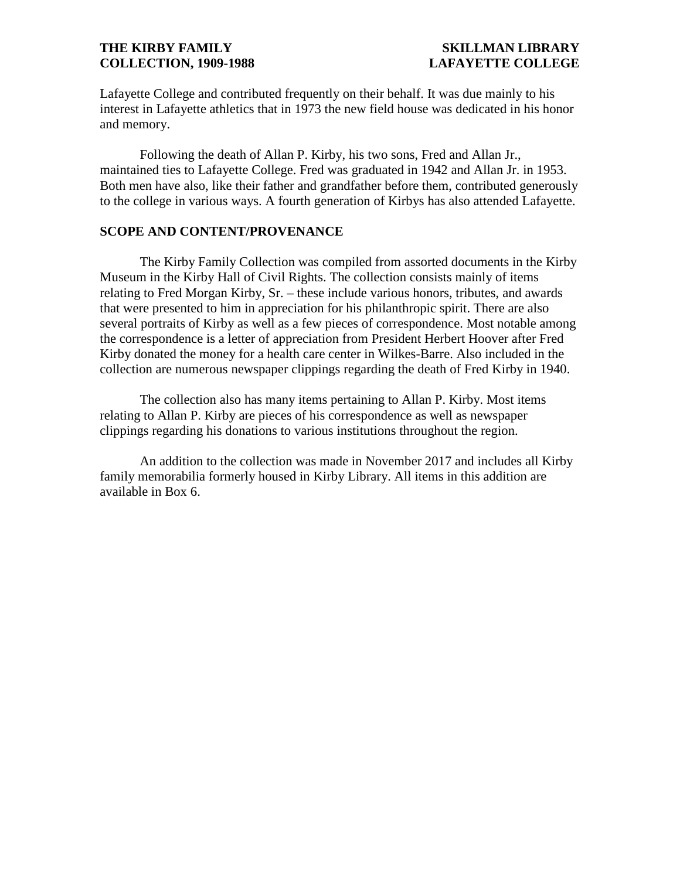Lafayette College and contributed frequently on their behalf. It was due mainly to his interest in Lafayette athletics that in 1973 the new field house was dedicated in his honor and memory.

Following the death of Allan P. Kirby, his two sons, Fred and Allan Jr., maintained ties to Lafayette College. Fred was graduated in 1942 and Allan Jr. in 1953. Both men have also, like their father and grandfather before them, contributed generously to the college in various ways. A fourth generation of Kirbys has also attended Lafayette.

## **SCOPE AND CONTENT/PROVENANCE**

The Kirby Family Collection was compiled from assorted documents in the Kirby Museum in the Kirby Hall of Civil Rights. The collection consists mainly of items relating to Fred Morgan Kirby, Sr. – these include various honors, tributes, and awards that were presented to him in appreciation for his philanthropic spirit. There are also several portraits of Kirby as well as a few pieces of correspondence. Most notable among the correspondence is a letter of appreciation from President Herbert Hoover after Fred Kirby donated the money for a health care center in Wilkes-Barre. Also included in the collection are numerous newspaper clippings regarding the death of Fred Kirby in 1940.

The collection also has many items pertaining to Allan P. Kirby. Most items relating to Allan P. Kirby are pieces of his correspondence as well as newspaper clippings regarding his donations to various institutions throughout the region.

An addition to the collection was made in November 2017 and includes all Kirby family memorabilia formerly housed in Kirby Library. All items in this addition are available in Box 6.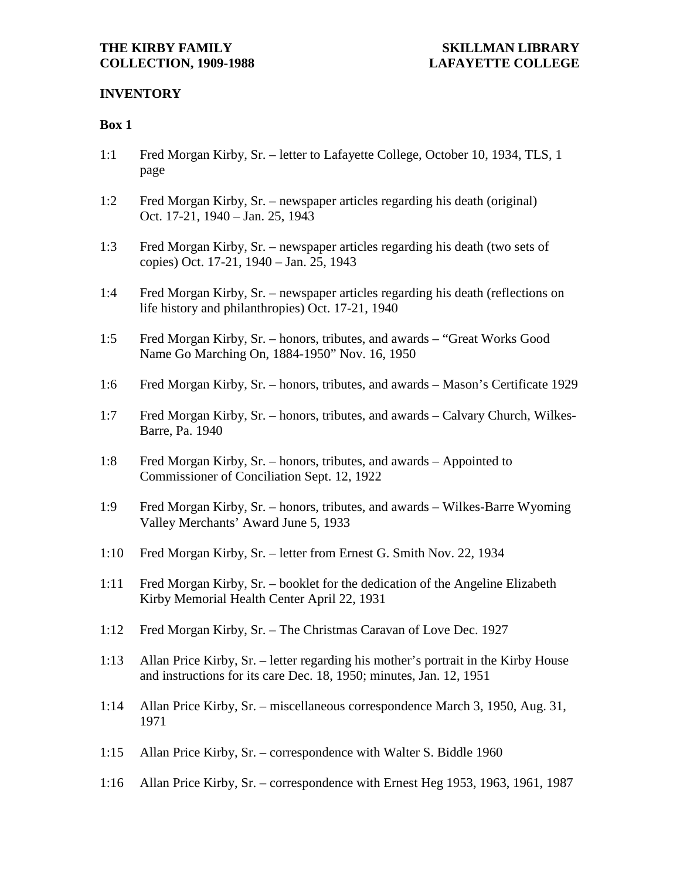## **INVENTORY**

## **Box 1**

- 1:1 Fred Morgan Kirby, Sr. letter to Lafayette College, October 10, 1934, TLS, 1 page
- 1:2 Fred Morgan Kirby, Sr. newspaper articles regarding his death (original) Oct. 17-21, 1940 – Jan. 25, 1943
- 1:3 Fred Morgan Kirby, Sr. newspaper articles regarding his death (two sets of copies) Oct. 17-21, 1940 – Jan. 25, 1943
- 1:4 Fred Morgan Kirby, Sr. newspaper articles regarding his death (reflections on life history and philanthropies) Oct. 17-21, 1940
- 1:5 Fred Morgan Kirby, Sr. honors, tributes, and awards "Great Works Good Name Go Marching On, 1884-1950" Nov. 16, 1950
- 1:6 Fred Morgan Kirby, Sr. honors, tributes, and awards Mason's Certificate 1929
- 1:7 Fred Morgan Kirby, Sr. honors, tributes, and awards Calvary Church, Wilkes-Barre, Pa. 1940
- 1:8 Fred Morgan Kirby, Sr. honors, tributes, and awards Appointed to Commissioner of Conciliation Sept. 12, 1922
- 1:9 Fred Morgan Kirby, Sr. honors, tributes, and awards Wilkes-Barre Wyoming Valley Merchants' Award June 5, 1933
- 1:10 Fred Morgan Kirby, Sr. letter from Ernest G. Smith Nov. 22, 1934
- 1:11 Fred Morgan Kirby, Sr. booklet for the dedication of the Angeline Elizabeth Kirby Memorial Health Center April 22, 1931
- 1:12 Fred Morgan Kirby, Sr. The Christmas Caravan of Love Dec. 1927
- 1:13 Allan Price Kirby, Sr. letter regarding his mother's portrait in the Kirby House and instructions for its care Dec. 18, 1950; minutes, Jan. 12, 1951
- 1:14 Allan Price Kirby, Sr. miscellaneous correspondence March 3, 1950, Aug. 31, 1971
- 1:15 Allan Price Kirby, Sr. correspondence with Walter S. Biddle 1960
- 1:16 Allan Price Kirby, Sr. correspondence with Ernest Heg 1953, 1963, 1961, 1987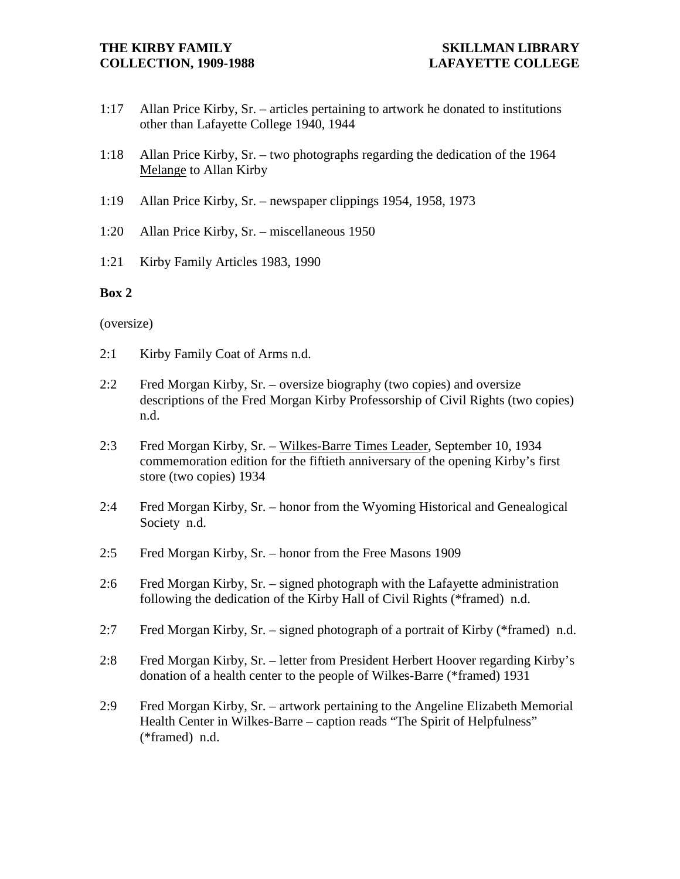- 1:17 Allan Price Kirby, Sr. articles pertaining to artwork he donated to institutions other than Lafayette College 1940, 1944
- 1:18 Allan Price Kirby, Sr. two photographs regarding the dedication of the 1964 Melange to Allan Kirby
- 1:19 Allan Price Kirby, Sr. newspaper clippings 1954, 1958, 1973
- 1:20 Allan Price Kirby, Sr. miscellaneous 1950
- 1:21 Kirby Family Articles 1983, 1990

## **Box 2**

### (oversize)

- 2:1 Kirby Family Coat of Arms n.d.
- 2:2 Fred Morgan Kirby, Sr. oversize biography (two copies) and oversize descriptions of the Fred Morgan Kirby Professorship of Civil Rights (two copies) n.d.
- 2:3 Fred Morgan Kirby, Sr. Wilkes-Barre Times Leader, September 10, 1934 commemoration edition for the fiftieth anniversary of the opening Kirby's first store (two copies) 1934
- 2:4 Fred Morgan Kirby, Sr. honor from the Wyoming Historical and Genealogical Society n.d.
- 2:5 Fred Morgan Kirby, Sr. honor from the Free Masons 1909
- 2:6 Fred Morgan Kirby, Sr. signed photograph with the Lafayette administration following the dedication of the Kirby Hall of Civil Rights (\*framed) n.d.
- 2:7 Fred Morgan Kirby, Sr. signed photograph of a portrait of Kirby (\*framed) n.d.
- 2:8 Fred Morgan Kirby, Sr. letter from President Herbert Hoover regarding Kirby's donation of a health center to the people of Wilkes-Barre (\*framed) 1931
- 2:9 Fred Morgan Kirby, Sr. artwork pertaining to the Angeline Elizabeth Memorial Health Center in Wilkes-Barre – caption reads "The Spirit of Helpfulness" (\*framed) n.d.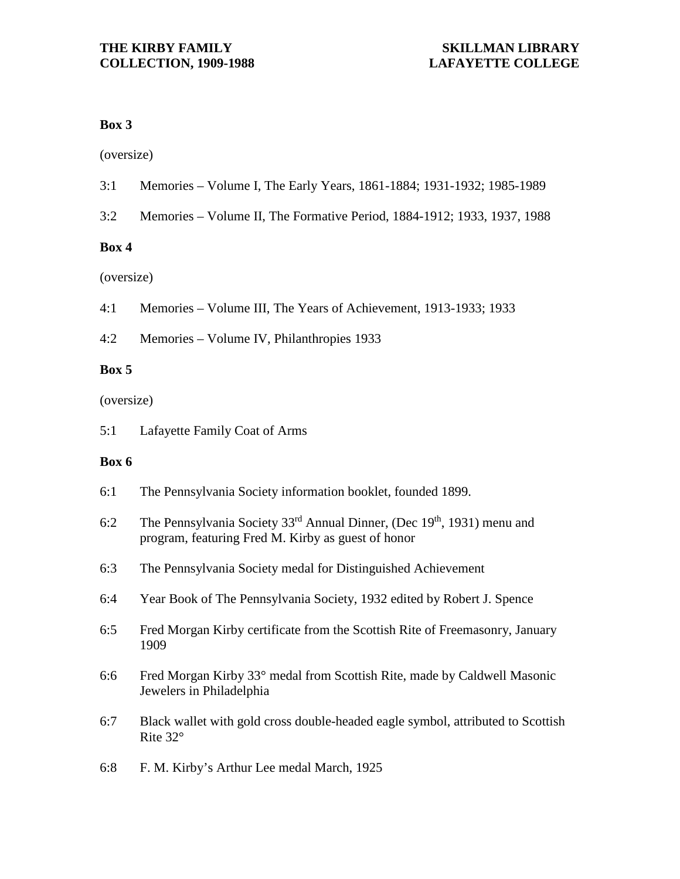## **Box 3**

(oversize)

- 3:1 Memories Volume I, The Early Years, 1861-1884; 1931-1932; 1985-1989
- 3:2 Memories Volume II, The Formative Period, 1884-1912; 1933, 1937, 1988

## **Box 4**

(oversize)

4:1 Memories – Volume III, The Years of Achievement, 1913-1933; 1933

4:2 Memories – Volume IV, Philanthropies 1933

## **Box 5**

(oversize)

5:1 Lafayette Family Coat of Arms

## **Box 6**

- 6:1 The Pennsylvania Society information booklet, founded 1899.
- 6:2 The Pennsylvania Society 33<sup>rd</sup> Annual Dinner, (Dec 19<sup>th</sup>, 1931) menu and program, featuring Fred M. Kirby as guest of honor
- 6:3 The Pennsylvania Society medal for Distinguished Achievement
- 6:4 Year Book of The Pennsylvania Society, 1932 edited by Robert J. Spence
- 6:5 Fred Morgan Kirby certificate from the Scottish Rite of Freemasonry, January 1909
- 6:6 Fred Morgan Kirby 33° medal from Scottish Rite, made by Caldwell Masonic Jewelers in Philadelphia
- 6:7 Black wallet with gold cross double-headed eagle symbol, attributed to Scottish Rite 32°
- 6:8 F. M. Kirby's Arthur Lee medal March, 1925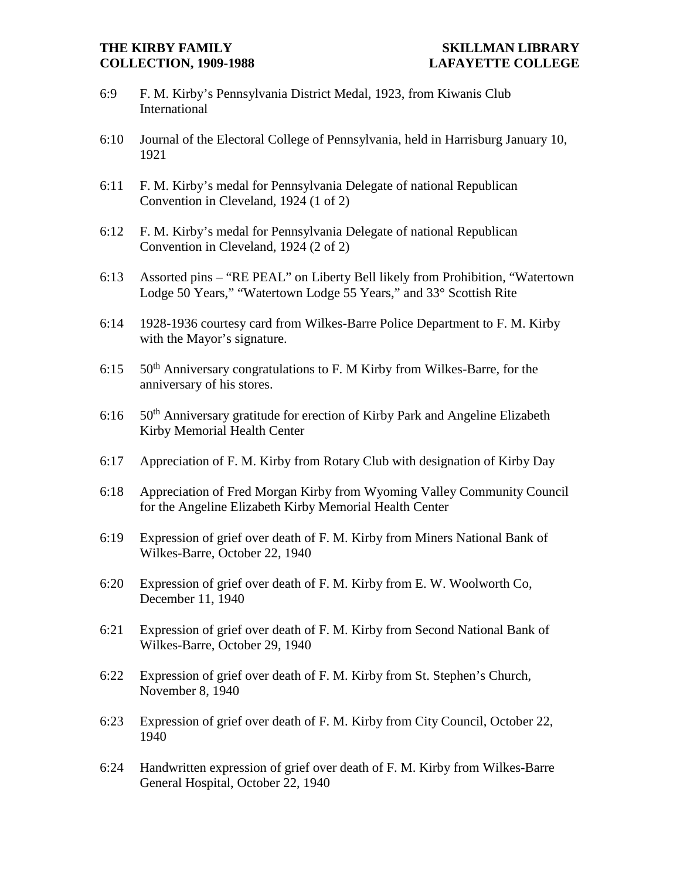- 6:9 F. M. Kirby's Pennsylvania District Medal, 1923, from Kiwanis Club International
- 6:10 Journal of the Electoral College of Pennsylvania, held in Harrisburg January 10, 1921
- 6:11 F. M. Kirby's medal for Pennsylvania Delegate of national Republican Convention in Cleveland, 1924 (1 of 2)
- 6:12 F. M. Kirby's medal for Pennsylvania Delegate of national Republican Convention in Cleveland, 1924 (2 of 2)
- 6:13 Assorted pins "RE PEAL" on Liberty Bell likely from Prohibition, "Watertown Lodge 50 Years," "Watertown Lodge 55 Years," and 33° Scottish Rite
- 6:14 1928-1936 courtesy card from Wilkes-Barre Police Department to F. M. Kirby with the Mayor's signature.
- 6:15  $50<sup>th</sup>$  Anniversary congratulations to F. M Kirby from Wilkes-Barre, for the anniversary of his stores.
- 6:16 50<sup>th</sup> Anniversary gratitude for erection of Kirby Park and Angeline Elizabeth Kirby Memorial Health Center
- 6:17 Appreciation of F. M. Kirby from Rotary Club with designation of Kirby Day
- 6:18 Appreciation of Fred Morgan Kirby from Wyoming Valley Community Council for the Angeline Elizabeth Kirby Memorial Health Center
- 6:19 Expression of grief over death of F. M. Kirby from Miners National Bank of Wilkes-Barre, October 22, 1940
- 6:20 Expression of grief over death of F. M. Kirby from E. W. Woolworth Co, December 11, 1940
- 6:21 Expression of grief over death of F. M. Kirby from Second National Bank of Wilkes-Barre, October 29, 1940
- 6:22 Expression of grief over death of F. M. Kirby from St. Stephen's Church, November 8, 1940
- 6:23 Expression of grief over death of F. M. Kirby from City Council, October 22, 1940
- 6:24 Handwritten expression of grief over death of F. M. Kirby from Wilkes-Barre General Hospital, October 22, 1940